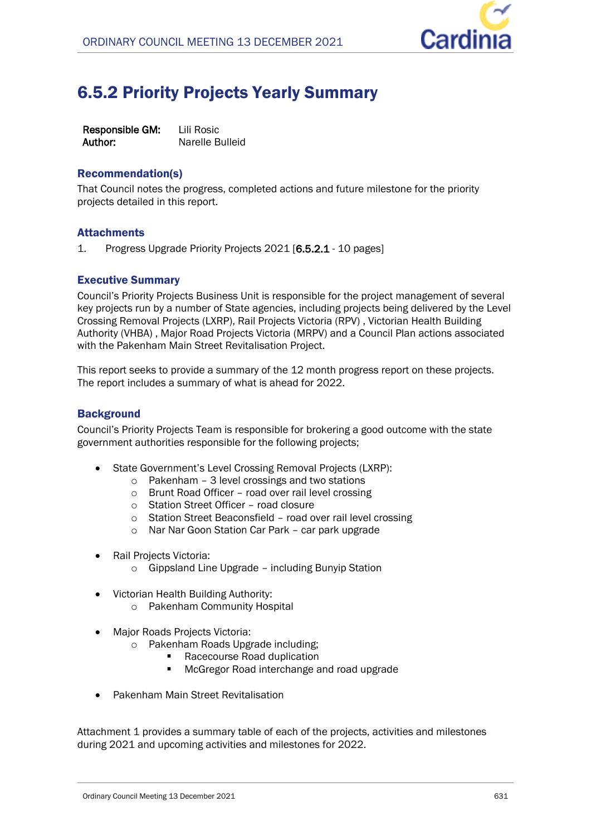

# 6.5.2 Priority Projects Yearly Summary

**Responsible GM:** Lili Rosic Author: Narelle Bulleid

## Recommendation(s)

That Council notes the progress, completed actions and future milestone for the priority projects detailed in this report.

## **Attachments**

1. Progress Upgrade Priority Projects 2021 [**6.5.2.1** - 10 pages]

## Executive Summary

Council's Priority Projects Business Unit is responsible for the project management of several key projects run by a number of State agencies, including projects being delivered by the Level Crossing Removal Projects (LXRP), Rail Projects Victoria (RPV) , Victorian Health Building Authority (VHBA) , Major Road Projects Victoria (MRPV) and a Council Plan actions associated with the Pakenham Main Street Revitalisation Project.

This report seeks to provide a summary of the 12 month progress report on these projects. The report includes a summary of what is ahead for 2022.

## **Background**

Council's Priority Projects Team is responsible for brokering a good outcome with the state government authorities responsible for the following projects;

- State Government's Level Crossing Removal Projects (LXRP):
	- o Pakenham 3 level crossings and two stations
	- o Brunt Road Officer road over rail level crossing
	- o Station Street Officer road closure
	- o Station Street Beaconsfield road over rail level crossing
	- o Nar Nar Goon Station Car Park car park upgrade
- Rail Projects Victoria:
	- o Gippsland Line Upgrade including Bunyip Station
- Victorian Health Building Authority:
	- o Pakenham Community Hospital
- Major Roads Projects Victoria:
	- o Pakenham Roads Upgrade including;
		- Racecourse Road duplication
			- McGregor Road interchange and road upgrade
- Pakenham Main Street Revitalisation

Attachment 1 provides a summary table of each of the projects, activities and milestones during 2021 and upcoming activities and milestones for 2022.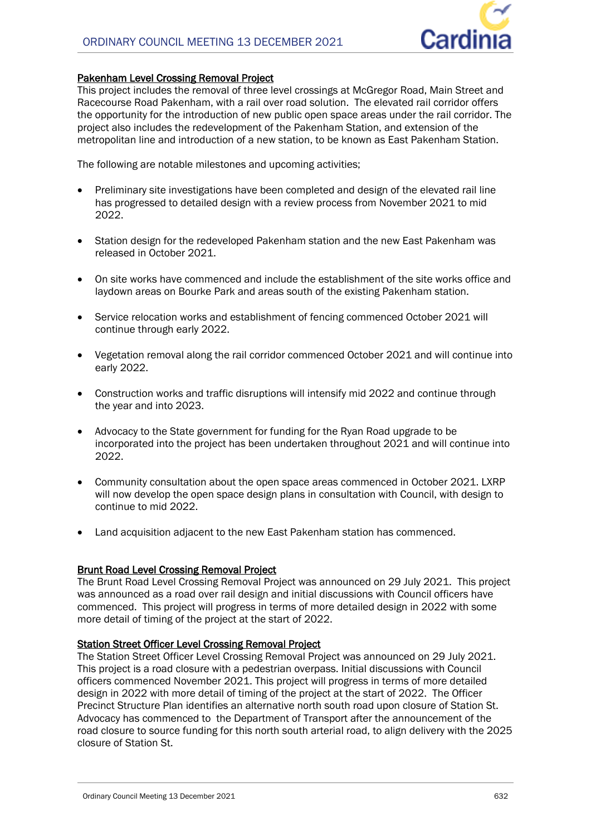

#### **Pakenham Level Crossing Removal Project**

This project includes the removal of three level crossings at McGregor Road, Main Street and Racecourse Road Pakenham, with a rail over road solution. The elevated rail corridor offers the opportunity for the introduction of new public open space areas under the rail corridor. The project also includes the redevelopment of the Pakenham Station, and extension of the metropolitan line and introduction of a new station, to be known as East Pakenham Station.

The following are notable milestones and upcoming activities;

- Preliminary site investigations have been completed and design of the elevated rail line has progressed to detailed design with a review process from November 2021 to mid 2022.
- Station design for the redeveloped Pakenham station and the new East Pakenham was released in October 2021.
- On site works have commenced and include the establishment of the site works office and laydown areas on Bourke Park and areas south of the existing Pakenham station.
- Service relocation works and establishment of fencing commenced October 2021 will continue through early 2022.
- Vegetation removal along the rail corridor commenced October 2021 and will continue into early 2022.
- Construction works and traffic disruptions will intensify mid 2022 and continue through the year and into 2023.
- Advocacy to the State government for funding for the Ryan Road upgrade to be incorporated into the project has been undertaken throughout 2021 and will continue into 2022.
- Community consultation about the open space areas commenced in October 2021. LXRP will now develop the open space design plans in consultation with Council, with design to continue to mid 2022.
- Land acquisition adjacent to the new East Pakenham station has commenced.

### **Brunt Road Level Crossing Removal Project**

The Brunt Road Level Crossing Removal Project was announced on 29 July 2021. This project was announced as a road over rail design and initial discussions with Council officers have commenced. This project will progress in terms of more detailed design in 2022 with some more detail of timing of the project at the start of 2022.

#### **Station Street Officer Level Crossing Removal Project**

The Station Street Officer Level Crossing Removal Project was announced on 29 July 2021. This project is a road closure with a pedestrian overpass. Initial discussions with Council officers commenced November 2021. This project will progress in terms of more detailed design in 2022 with more detail of timing of the project at the start of 2022. The Officer Precinct Structure Plan identifies an alternative north south road upon closure of Station St. Advocacy has commenced to the Department of Transport after the announcement of the road closure to source funding for this north south arterial road, to align delivery with the 2025 closure of Station St.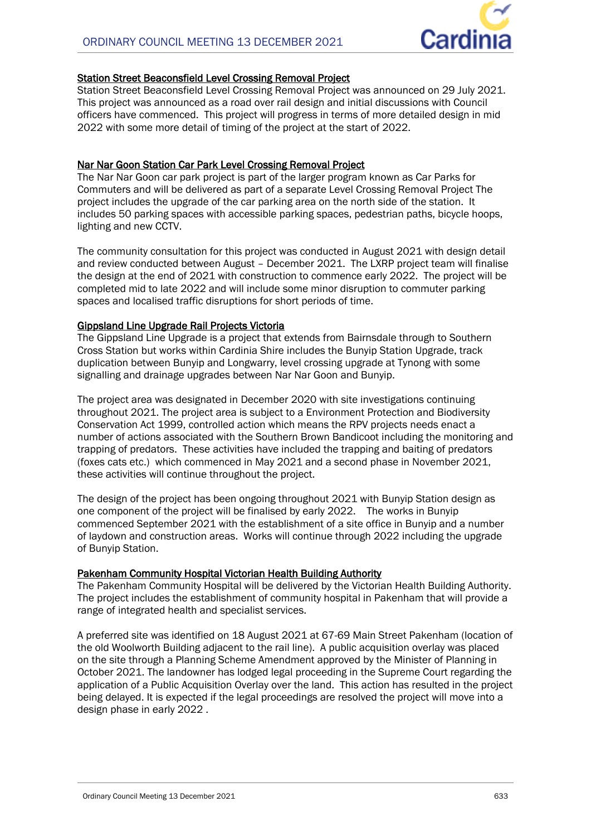#### **Station Street Beaconsfield Level Crossing Removal Project**

Station Street Beaconsfield Level Crossing Removal Project was announced on 29 July 2021. This project was announced as a road over rail design and initial discussions with Council officers have commenced. This project will progress in terms of more detailed design in mid 2022 with some more detail of timing of the project at the start of 2022.

### **Nar Nar Goon Station Car Park Level Crossing Removal Project**

The Nar Nar Goon car park project is part of the larger program known as Car Parks for Commuters and will be delivered as part of a separate Level Crossing Removal Project The project includes the upgrade of the car parking area on the north side of the station. It includes 50 parking spaces with accessible parking spaces, pedestrian paths, bicycle hoops, lighting and new CCTV.

The community consultation for this project was conducted in August 2021 with design detail and review conducted between August – December 2021. The LXRP project team will finalise the design at the end of 2021 with construction to commence early 2022. The project will be completed mid to late 2022 and will include some minor disruption to commuter parking spaces and localised traffic disruptions for short periods of time.

### **Gippsland Line Upgrade Rail Projects Victoria**

The Gippsland Line Upgrade is a project that extends from Bairnsdale through to Southern Cross Station but works within Cardinia Shire includes the Bunyip Station Upgrade, track duplication between Bunyip and Longwarry, level crossing upgrade at Tynong with some signalling and drainage upgrades between Nar Nar Goon and Bunyip.

The project area was designated in December 2020 with site investigations continuing throughout 2021. The project area is subject to a Environment Protection and Biodiversity Conservation Act 1999, controlled action which means the RPV projects needs enact a number of actions associated with the Southern Brown Bandicoot including the monitoring and trapping of predators. These activities have included the trapping and baiting of predators (foxes cats etc.) which commenced in May 2021 and a second phase in November 2021, these activities will continue throughout the project.

The design of the project has been ongoing throughout 2021 with Bunyip Station design as one component of the project will be finalised by early 2022. The works in Bunyip commenced September 2021 with the establishment of a site office in Bunyip and a number of laydown and construction areas. Works will continue through 2022 including the upgrade of Bunyip Station.

#### **Pakenham Community Hospital Victorian Health Building Authority**

The Pakenham Community Hospital will be delivered by the Victorian Health Building Authority. The project includes the establishment of community hospital in Pakenham that will provide a range of integrated health and specialist services.

A preferred site was identified on 18 August 2021 at 67-69 Main Street Pakenham (location of the old Woolworth Building adjacent to the rail line). A public acquisition overlay was placed on the site through a Planning Scheme Amendment approved by the Minister of Planning in October 2021. The landowner has lodged legal proceeding in the Supreme Court regarding the application of a Public Acquisition Overlay over the land. This action has resulted in the project being delayed. It is expected if the legal proceedings are resolved the project will move into a design phase in early 2022 .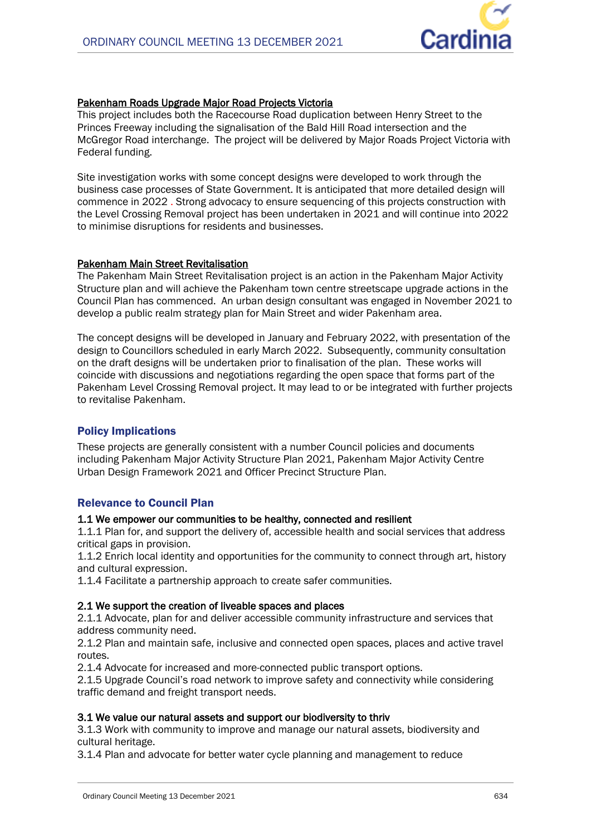

## **Pakenham Roads Upgrade Major Road Projects Victoria**

This project includes both the Racecourse Road duplication between Henry Street to the Princes Freeway including the signalisation of the Bald Hill Road intersection and the McGregor Road interchange. The project will be delivered by Major Roads Project Victoria with Federal funding.

Site investigation works with some concept designs were developed to work through the business case processes of State Government. It is anticipated that more detailed design will commence in 2022 . Strong advocacy to ensure sequencing of this projects construction with the Level Crossing Removal project has been undertaken in 2021 and will continue into 2022 to minimise disruptions for residents and businesses.

### **Pakenham Main Street Revitalisation**

The Pakenham Main Street Revitalisation project is an action in the Pakenham Major Activity Structure plan and will achieve the Pakenham town centre streetscape upgrade actions in the Council Plan has commenced. An urban design consultant was engaged in November 2021 to develop a public realm strategy plan for Main Street and wider Pakenham area.

The concept designs will be developed in January and February 2022, with presentation of the design to Councillors scheduled in early March 2022. Subsequently, community consultation on the draft designs will be undertaken prior to finalisation of the plan. These works will coincide with discussions and negotiations regarding the open space that forms part of the Pakenham Level Crossing Removal project. It may lead to or be integrated with further projects to revitalise Pakenham.

### Policy Implications

These projects are generally consistent with a number Council policies and documents including Pakenham Major Activity Structure Plan 2021, Pakenham Major Activity Centre Urban Design Framework 2021 and Officer Precinct Structure Plan.

### Relevance to Council Plan

#### **1.1 We empower our communities to be healthy, connected and resilient**

1.1.1 Plan for, and support the delivery of, accessible health and social services that address critical gaps in provision.

1.1.2 Enrich local identity and opportunities for the community to connect through art, history and cultural expression.

1.1.4 Facilitate a partnership approach to create safer communities.

#### **2.1 We support the creation of liveable spaces and places**

2.1.1 Advocate, plan for and deliver accessible community infrastructure and services that address community need.

2.1.2 Plan and maintain safe, inclusive and connected open spaces, places and active travel routes.

2.1.4 Advocate for increased and more-connected public transport options.

2.1.5 Upgrade Council's road network to improve safety and connectivity while considering traffic demand and freight transport needs.

#### **3.1 We value our natural assets and support our biodiversity to thriv**

3.1.3 Work with community to improve and manage our natural assets, biodiversity and cultural heritage.

3.1.4 Plan and advocate for better water cycle planning and management to reduce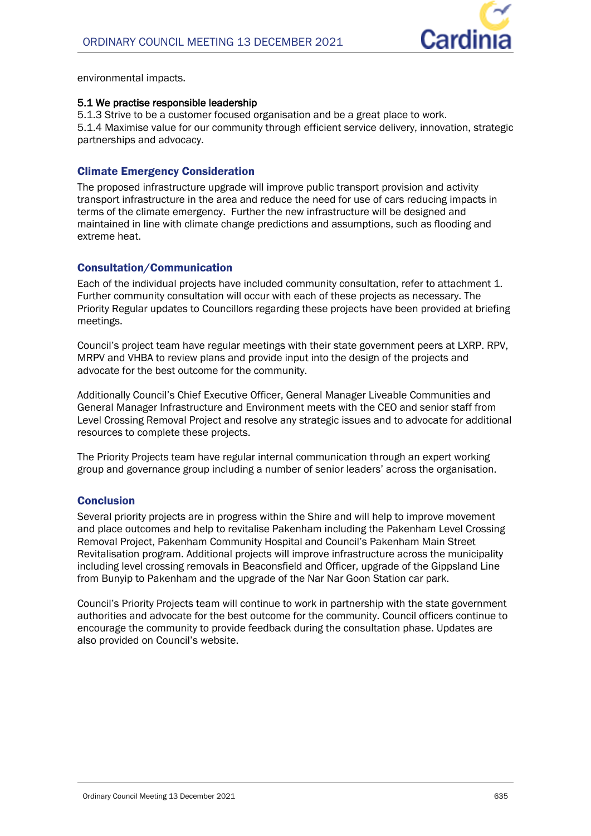

environmental impacts.

#### **5.1 We practise responsible leadership**

5.1.3 Strive to be a customer focused organisation and be a great place to work. 5.1.4 Maximise value for our community through efficient service delivery, innovation, strategic partnerships and advocacy.

### Climate Emergency Consideration

The proposed infrastructure upgrade will improve public transport provision and activity transport infrastructure in the area and reduce the need for use of cars reducing impacts in terms of the climate emergency. Further the new infrastructure will be designed and maintained in line with climate change predictions and assumptions, such as flooding and extreme heat.

### Consultation/Communication

Each of the individual projects have included community consultation, refer to attachment 1. Further community consultation will occur with each of these projects as necessary. The Priority Regular updates to Councillors regarding these projects have been provided at briefing meetings.

Council's project team have regular meetings with their state government peers at LXRP. RPV, MRPV and VHBA to review plans and provide input into the design of the projects and advocate for the best outcome for the community.

Additionally Council's Chief Executive Officer, General Manager Liveable Communities and General Manager Infrastructure and Environment meets with the CEO and senior staff from Level Crossing Removal Project and resolve any strategic issues and to advocate for additional resources to complete these projects.

The Priority Projects team have regular internal communication through an expert working group and governance group including a number of senior leaders' across the organisation.

### Conclusion

Several priority projects are in progress within the Shire and will help to improve movement and place outcomes and help to revitalise Pakenham including the Pakenham Level Crossing Removal Project, Pakenham Community Hospital and Council's Pakenham Main Street Revitalisation program. Additional projects will improve infrastructure across the municipality including level crossing removals in Beaconsfield and Officer, upgrade of the Gippsland Line from Bunyip to Pakenham and the upgrade of the Nar Nar Goon Station car park.

Council's Priority Projects team will continue to work in partnership with the state government authorities and advocate for the best outcome for the community. Council officers continue to encourage the community to provide feedback during the consultation phase. Updates are also provided on Council's website.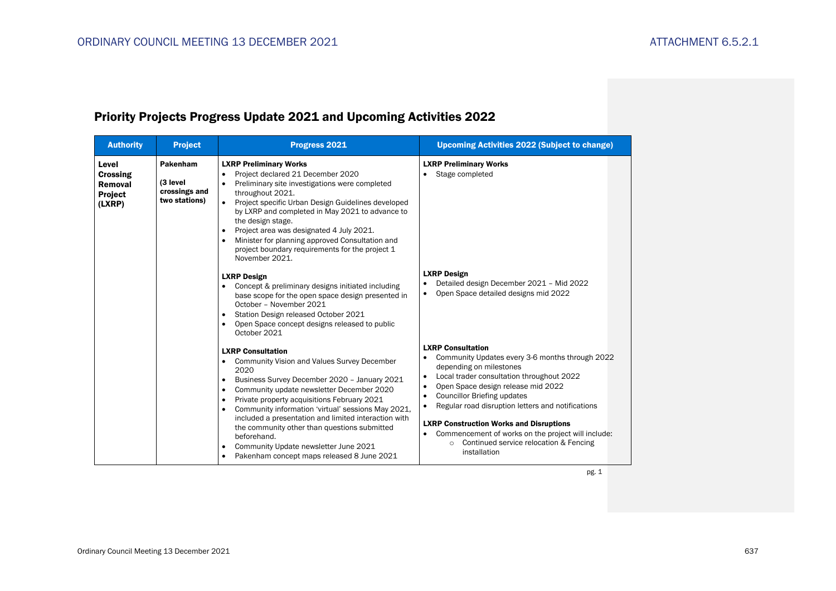| <b>Authority</b>                                                | <b>Project</b>                                         | Progress 2021                                                                                                                                                                                                                                                                                                                                                                                                                                                                                                                                         | <b>Upcoming Activities 2022 (Subject to change)</b>                                                                                                                                                                                                                                                                                                                                                                                                                                                              |
|-----------------------------------------------------------------|--------------------------------------------------------|-------------------------------------------------------------------------------------------------------------------------------------------------------------------------------------------------------------------------------------------------------------------------------------------------------------------------------------------------------------------------------------------------------------------------------------------------------------------------------------------------------------------------------------------------------|------------------------------------------------------------------------------------------------------------------------------------------------------------------------------------------------------------------------------------------------------------------------------------------------------------------------------------------------------------------------------------------------------------------------------------------------------------------------------------------------------------------|
| Level<br><b>Crossing</b><br>Removal<br><b>Project</b><br>(LXRP) | Pakenham<br>(3 level<br>crossings and<br>two stations) | <b>LXRP Preliminary Works</b><br>Project declared 21 December 2020<br>$\bullet$<br>Preliminary site investigations were completed<br>throughout 2021.<br>Project specific Urban Design Guidelines developed<br>by LXRP and completed in May 2021 to advance to<br>the design stage.<br>Project area was designated 4 July 2021.<br>$\bullet$<br>Minister for planning approved Consultation and<br>project boundary requirements for the project 1<br>November 2021.                                                                                  | <b>LXRP Preliminary Works</b><br>Stage completed<br>$\bullet$                                                                                                                                                                                                                                                                                                                                                                                                                                                    |
|                                                                 |                                                        | <b>LXRP Design</b><br>• Concept & preliminary designs initiated including<br>base scope for the open space design presented in<br>October - November 2021<br>Station Design released October 2021<br>$\bullet$<br>Open Space concept designs released to public<br>October 2021                                                                                                                                                                                                                                                                       | <b>LXRP Design</b><br>Detailed design December 2021 - Mid 2022<br>Open Space detailed designs mid 2022<br>$\bullet$                                                                                                                                                                                                                                                                                                                                                                                              |
|                                                                 |                                                        | <b>LXRP Consultation</b><br>Community Vision and Values Survey December<br>$\bullet$<br>2020<br>Business Survey December 2020 - January 2021<br>$\bullet$<br>Community update newsletter December 2020<br>٠<br>Private property acquisitions February 2021<br>٠<br>Community information 'virtual' sessions May 2021,<br>٠<br>included a presentation and limited interaction with<br>the community other than questions submitted<br>beforehand.<br>Community Update newsletter June 2021<br>$\bullet$<br>Pakenham concept maps released 8 June 2021 | <b>LXRP Consultation</b><br>Community Updates every 3-6 months through 2022<br>depending on milestones<br>Local trader consultation throughout 2022<br>$\bullet$<br>Open Space design release mid 2022<br>٠<br><b>Councillor Briefing updates</b><br>$\bullet$<br>Regular road disruption letters and notifications<br>$\bullet$<br><b>LXRP Construction Works and Disruptions</b><br>• Commencement of works on the project will include:<br>Continued service relocation & Fencing<br>$\Omega$<br>installation |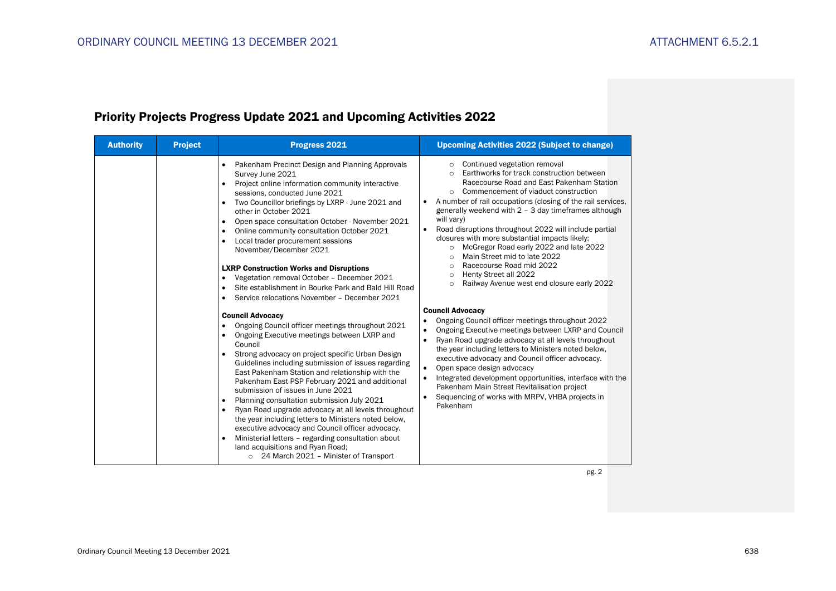| <b>Authority</b> | <b>Project</b> | <b>Progress 2021</b>                                                                                                                                                                                                                                                                                                                                                                                                                                                                                                                                                                                                                                                                                                                                                                                 | <b>Upcoming Activities 2022 (Subject to change)</b>                                                                                                                                                                                                                                                                                                                                                                                                                                                                                                                                                                                                                                   |
|------------------|----------------|------------------------------------------------------------------------------------------------------------------------------------------------------------------------------------------------------------------------------------------------------------------------------------------------------------------------------------------------------------------------------------------------------------------------------------------------------------------------------------------------------------------------------------------------------------------------------------------------------------------------------------------------------------------------------------------------------------------------------------------------------------------------------------------------------|---------------------------------------------------------------------------------------------------------------------------------------------------------------------------------------------------------------------------------------------------------------------------------------------------------------------------------------------------------------------------------------------------------------------------------------------------------------------------------------------------------------------------------------------------------------------------------------------------------------------------------------------------------------------------------------|
|                  |                | Pakenham Precinct Design and Planning Approvals<br>$\bullet$<br>Survey June 2021<br>Project online information community interactive<br>sessions, conducted June 2021<br>Two Councillor briefings by LXRP - June 2021 and<br>٠<br>other in October 2021<br>Open space consultation October - November 2021<br>$\bullet$<br>Online community consultation October 2021<br>$\bullet$<br>Local trader procurement sessions<br>$\bullet$<br>November/December 2021<br><b>LXRP Construction Works and Disruptions</b><br>Vegetation removal October - December 2021<br>٠<br>Site establishment in Bourke Park and Bald Hill Road<br>$\bullet$<br>Service relocations November - December 2021<br>$\bullet$                                                                                                | Continued vegetation removal<br>$\circ$<br>Earthworks for track construction between<br>$\Omega$<br>Racecourse Road and East Pakenham Station<br>Commencement of viaduct construction<br>$\Omega$<br>A number of rail occupations (closing of the rail services,<br>generally weekend with 2 - 3 day timeframes although<br>will vary)<br>Road disruptions throughout 2022 will include partial<br>closures with more substantial impacts likely:<br>McGregor Road early 2022 and late 2022<br>$\circ$<br>Main Street mid to late 2022<br>$\circ$<br>Racecourse Road mid 2022<br>$\circ$<br>Henty Street all 2022<br>$\circ$<br>Railway Avenue west end closure early 2022<br>$\circ$ |
|                  |                | <b>Council Advocacy</b><br>Ongoing Council officer meetings throughout 2021<br>Ongoing Executive meetings between LXRP and<br>$\bullet$<br>Council<br>Strong advocacy on project specific Urban Design<br>$\bullet$<br>Guidelines including submission of issues regarding<br>East Pakenham Station and relationship with the<br>Pakenham East PSP February 2021 and additional<br>submission of issues in June 2021<br>Planning consultation submission July 2021<br>Ryan Road upgrade advocacy at all levels throughout<br>$\bullet$<br>the year including letters to Ministers noted below.<br>executive advocacy and Council officer advocacy.<br>Ministerial letters - regarding consultation about<br>$\bullet$<br>land acquisitions and Ryan Road;<br>o 24 March 2021 - Minister of Transport | <b>Council Advocacy</b><br>Ongoing Council officer meetings throughout 2022<br>Ongoing Executive meetings between LXRP and Council<br>Ryan Road upgrade advocacy at all levels throughout<br>$\bullet$<br>the year including letters to Ministers noted below,<br>executive advocacy and Council officer advocacy.<br>Open space design advocacy<br>Integrated development opportunities, interface with the<br>Pakenham Main Street Revitalisation project<br>Sequencing of works with MRPV, VHBA projects in<br>Pakenham                                                                                                                                                            |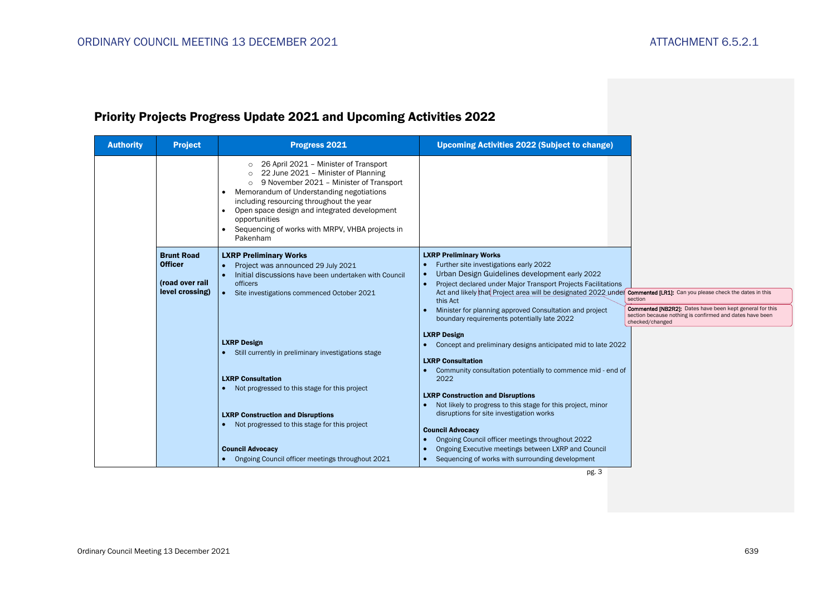| <b>Authority</b> | <b>Project</b>                      | Progress 2021                                                                                                                                                                                                                                                                                                                                   | <b>Upcoming Activities 2022 (Subject to change)</b>                                                                                       |                                                                                                                                         |
|------------------|-------------------------------------|-------------------------------------------------------------------------------------------------------------------------------------------------------------------------------------------------------------------------------------------------------------------------------------------------------------------------------------------------|-------------------------------------------------------------------------------------------------------------------------------------------|-----------------------------------------------------------------------------------------------------------------------------------------|
|                  |                                     | 26 April 2021 - Minister of Transport<br>22 June 2021 - Minister of Planning<br>9 November 2021 - Minister of Transport<br>Memorandum of Understanding negotiations<br>including resourcing throughout the year<br>Open space design and integrated development<br>opportunities<br>Sequencing of works with MRPV, VHBA projects in<br>Pakenham |                                                                                                                                           |                                                                                                                                         |
|                  | <b>Brunt Road</b><br><b>Officer</b> | <b>LXRP Preliminary Works</b><br>Project was announced 29 July 2021                                                                                                                                                                                                                                                                             | <b>LXRP Preliminary Works</b><br>Further site investigations early 2022                                                                   |                                                                                                                                         |
|                  |                                     | Initial discussions have been undertaken with Council                                                                                                                                                                                                                                                                                           | Urban Design Guidelines development early 2022                                                                                            |                                                                                                                                         |
|                  | (road over rail                     | officers<br>• Site investigations commenced October 2021                                                                                                                                                                                                                                                                                        | Project declared under Major Transport Projects Facilitations                                                                             |                                                                                                                                         |
|                  | level crossing)                     |                                                                                                                                                                                                                                                                                                                                                 | Act and likely that Project area will be designated 2022 under <b>Commented [LR1]:</b> Can you please check the dates in this<br>this Act | section                                                                                                                                 |
|                  |                                     |                                                                                                                                                                                                                                                                                                                                                 | Minister for planning approved Consultation and project<br>boundary requirements potentially late 2022                                    | Commented [NB2R2]: Dates have been kept general for this<br>section because nothing is confirmed and dates have been<br>checked/changed |
|                  |                                     |                                                                                                                                                                                                                                                                                                                                                 | <b>LXRP Design</b>                                                                                                                        |                                                                                                                                         |
|                  |                                     | <b>LXRP Design</b>                                                                                                                                                                                                                                                                                                                              | Concept and preliminary designs anticipated mid to late 2022                                                                              |                                                                                                                                         |
|                  |                                     | • Still currently in preliminary investigations stage                                                                                                                                                                                                                                                                                           | <b>LXRP Consultation</b>                                                                                                                  |                                                                                                                                         |
|                  |                                     |                                                                                                                                                                                                                                                                                                                                                 | Community consultation potentially to commence mid - end of                                                                               |                                                                                                                                         |
|                  |                                     | <b>LXRP Consultation</b><br>• Not progressed to this stage for this project                                                                                                                                                                                                                                                                     | 2022                                                                                                                                      |                                                                                                                                         |
|                  |                                     |                                                                                                                                                                                                                                                                                                                                                 | <b>LXRP Construction and Disruptions</b>                                                                                                  |                                                                                                                                         |
|                  |                                     | <b>LXRP Construction and Disruptions</b>                                                                                                                                                                                                                                                                                                        | Not likely to progress to this stage for this project, minor<br>$\bullet$<br>disruptions for site investigation works                     |                                                                                                                                         |
|                  |                                     | • Not progressed to this stage for this project                                                                                                                                                                                                                                                                                                 |                                                                                                                                           |                                                                                                                                         |
|                  |                                     |                                                                                                                                                                                                                                                                                                                                                 | <b>Council Advocacy</b><br>Ongoing Council officer meetings throughout 2022                                                               |                                                                                                                                         |
|                  |                                     | <b>Council Advocacy</b>                                                                                                                                                                                                                                                                                                                         | Ongoing Executive meetings between LXRP and Council                                                                                       |                                                                                                                                         |
|                  |                                     | Ongoing Council officer meetings throughout 2021                                                                                                                                                                                                                                                                                                | Sequencing of works with surrounding development                                                                                          |                                                                                                                                         |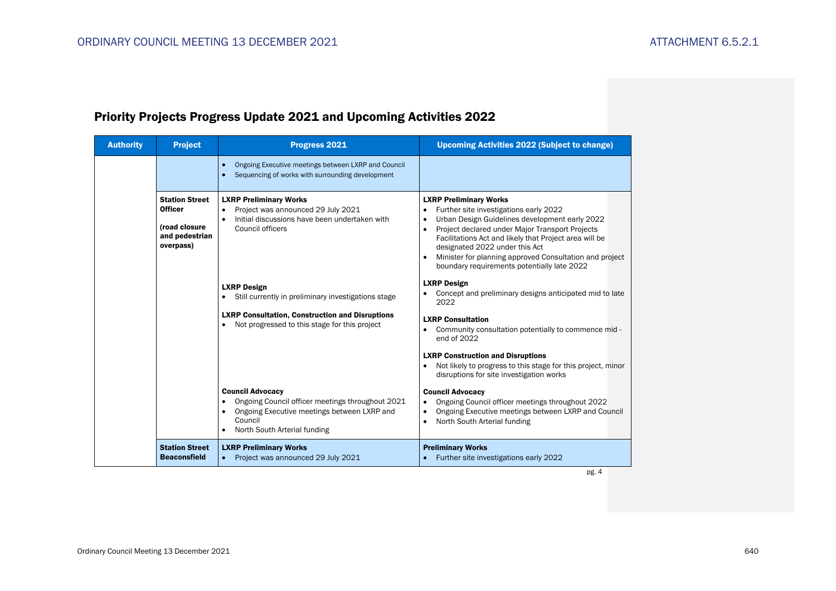| <b>Authority</b> | <b>Project</b>                                                                           | <b>Progress 2021</b>                                                                                                                                                                 | <b>Upcoming Activities 2022 (Subject to change)</b>                                                                                                                                                                                                                                                                                                                                                          |
|------------------|------------------------------------------------------------------------------------------|--------------------------------------------------------------------------------------------------------------------------------------------------------------------------------------|--------------------------------------------------------------------------------------------------------------------------------------------------------------------------------------------------------------------------------------------------------------------------------------------------------------------------------------------------------------------------------------------------------------|
|                  |                                                                                          | Ongoing Executive meetings between LXRP and Council<br>Sequencing of works with surrounding development<br>$\bullet$                                                                 |                                                                                                                                                                                                                                                                                                                                                                                                              |
|                  | <b>Station Street</b><br><b>Officer</b><br>(road closure)<br>and pedestrian<br>overpass) | <b>LXRP Preliminary Works</b><br>Project was announced 29 July 2021<br>$\bullet$<br>Initial discussions have been undertaken with<br>Council officers                                | <b>LXRP Preliminary Works</b><br>Further site investigations early 2022<br>$\bullet$<br>Urban Design Guidelines development early 2022<br>$\bullet$<br>Project declared under Major Transport Projects<br>Facilitations Act and likely that Project area will be<br>designated 2022 under this Act<br>Minister for planning approved Consultation and project<br>boundary requirements potentially late 2022 |
|                  |                                                                                          | <b>LXRP Design</b><br>Still currently in preliminary investigations stage<br><b>LXRP Consultation, Construction and Disruptions</b><br>Not progressed to this stage for this project | <b>LXRP Design</b><br>Concept and preliminary designs anticipated mid to late<br>2022<br><b>LXRP Consultation</b><br>Community consultation potentially to commence mid -<br>end of 2022<br><b>LXRP Construction and Disruptions</b><br>Not likely to progress to this stage for this project, minor<br>disruptions for site investigation works                                                             |
|                  |                                                                                          | <b>Council Advocacy</b><br>Ongoing Council officer meetings throughout 2021<br>$\bullet$<br>Ongoing Executive meetings between LXRP and<br>Council<br>North South Arterial funding   | <b>Council Advocacy</b><br>Ongoing Council officer meetings throughout 2022<br>Ongoing Executive meetings between LXRP and Council<br>$\bullet$<br>North South Arterial funding<br>$\bullet$                                                                                                                                                                                                                 |
|                  | <b>Station Street</b><br><b>Beaconsfield</b>                                             | <b>LXRP Preliminary Works</b><br>Project was announced 29 July 2021<br>$\bullet$                                                                                                     | <b>Preliminary Works</b><br>Further site investigations early 2022                                                                                                                                                                                                                                                                                                                                           |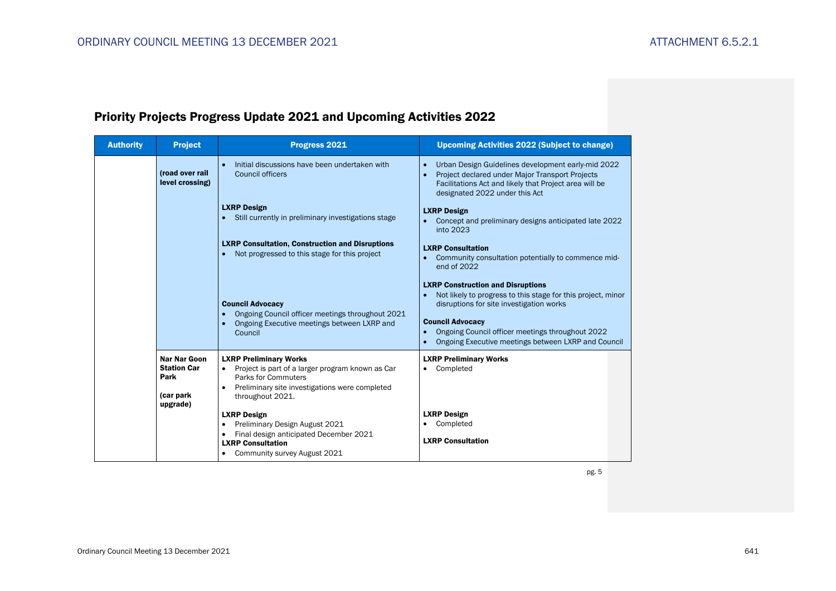| <b>Authority</b> | <b>Project</b>                                                      | Progress 2021                                                                                                                                                                               | <b>Upcoming Activities 2022 (Subject to change)</b>                                                                                                                                                                                                                                                     |
|------------------|---------------------------------------------------------------------|---------------------------------------------------------------------------------------------------------------------------------------------------------------------------------------------|---------------------------------------------------------------------------------------------------------------------------------------------------------------------------------------------------------------------------------------------------------------------------------------------------------|
|                  | (road over rail<br>level crossing)                                  | Initial discussions have been undertaken with<br>$\bullet$<br>Council officers                                                                                                              | Urban Design Guidelines development early-mid 2022<br>$\bullet$<br>Project declared under Major Transport Projects<br>Facilitations Act and likely that Project area will be<br>designated 2022 under this Act                                                                                          |
|                  |                                                                     | <b>LXRP Design</b><br>Still currently in preliminary investigations stage                                                                                                                   | <b>LXRP Design</b><br>Concept and preliminary designs anticipated late 2022<br>into 2023                                                                                                                                                                                                                |
|                  |                                                                     | <b>LXRP Consultation, Construction and Disruptions</b><br>Not progressed to this stage for this project<br>$\bullet$                                                                        | <b>LXRP Consultation</b><br>Community consultation potentially to commence mid-<br>end of 2022                                                                                                                                                                                                          |
|                  |                                                                     | <b>Council Advocacy</b><br>• Ongoing Council officer meetings throughout 2021<br>Ongoing Executive meetings between LXRP and<br>Council                                                     | <b>LXRP Construction and Disruptions</b><br>Not likely to progress to this stage for this project, minor<br>$\bullet$<br>disruptions for site investigation works<br><b>Council Advocacy</b><br>Ongoing Council officer meetings throughout 2022<br>Ongoing Executive meetings between LXRP and Council |
|                  | Nar Nar Goon<br><b>Station Car</b><br>Park<br>(car park<br>upgrade) | <b>LXRP Preliminary Works</b><br>Project is part of a larger program known as Car<br>$\bullet$<br>Parks for Commuters<br>Preliminary site investigations were completed<br>throughout 2021. | <b>LXRP Preliminary Works</b><br>• Completed                                                                                                                                                                                                                                                            |
|                  |                                                                     | <b>LXRP Design</b><br>Preliminary Design August 2021<br>Final design anticipated December 2021<br>$\bullet$<br><b>LXRP Consultation</b><br>• Community survey August 2021                   | <b>LXRP Design</b><br>Completed<br><b>LXRP Consultation</b>                                                                                                                                                                                                                                             |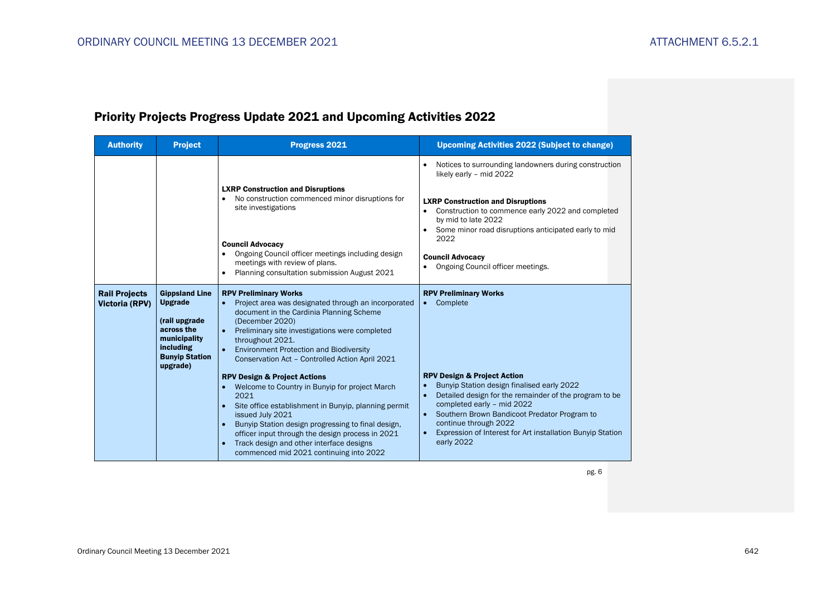| <b>Authority</b>                              | <b>Project</b>                                                                                                                           | Progress 2021                                                                                                                                                                                                                                                                                                                                                                                                                                                                                                                                                                                                                                                                                                                                                                                 | <b>Upcoming Activities 2022 (Subject to change)</b>                                                                                                                                                                                                                                                                                                                                                     |
|-----------------------------------------------|------------------------------------------------------------------------------------------------------------------------------------------|-----------------------------------------------------------------------------------------------------------------------------------------------------------------------------------------------------------------------------------------------------------------------------------------------------------------------------------------------------------------------------------------------------------------------------------------------------------------------------------------------------------------------------------------------------------------------------------------------------------------------------------------------------------------------------------------------------------------------------------------------------------------------------------------------|---------------------------------------------------------------------------------------------------------------------------------------------------------------------------------------------------------------------------------------------------------------------------------------------------------------------------------------------------------------------------------------------------------|
|                                               |                                                                                                                                          | <b>LXRP Construction and Disruptions</b><br>No construction commenced minor disruptions for<br>site investigations<br><b>Council Advocacy</b><br>Ongoing Council officer meetings including design<br>meetings with review of plans.<br>Planning consultation submission August 2021                                                                                                                                                                                                                                                                                                                                                                                                                                                                                                          | Notices to surrounding landowners during construction<br>likely early - mid 2022<br><b>LXRP Construction and Disruptions</b><br>Construction to commence early 2022 and completed<br>by mid to late 2022<br>Some minor road disruptions anticipated early to mid<br>$\bullet$<br>2022<br><b>Council Advocacy</b><br>Ongoing Council officer meetings.                                                   |
| <b>Rail Projects</b><br><b>Victoria (RPV)</b> | <b>Gippsland Line</b><br><b>Upgrade</b><br>(rail upgrade<br>across the<br>municipality<br>including<br><b>Bunyip Station</b><br>upgrade) | <b>RPV Preliminary Works</b><br>Project area was designated through an incorporated<br>$\bullet$<br>document in the Cardinia Planning Scheme<br>(December 2020)<br>Preliminary site investigations were completed<br>$\bullet$<br>throughout 2021.<br><b>Environment Protection and Biodiversity</b><br>$\bullet$<br>Conservation Act - Controlled Action April 2021<br><b>RPV Design &amp; Project Actions</b><br>Welcome to Country in Bunyip for project March<br>$\bullet$<br>2021<br>Site office establishment in Bunyip, planning permit<br>issued July 2021<br>Bunyip Station design progressing to final design,<br>$\bullet$<br>officer input through the design process in 2021<br>Track design and other interface designs<br>$\bullet$<br>commenced mid 2021 continuing into 2022 | <b>RPV Preliminary Works</b><br>Complete<br>$\bullet$<br><b>RPV Design &amp; Project Action</b><br>Bunyip Station design finalised early 2022<br>Detailed design for the remainder of the program to be<br>$\bullet$<br>completed early - mid 2022<br>Southern Brown Bandicoot Predator Program to<br>continue through 2022<br>Expression of Interest for Art installation Bunyip Station<br>early 2022 |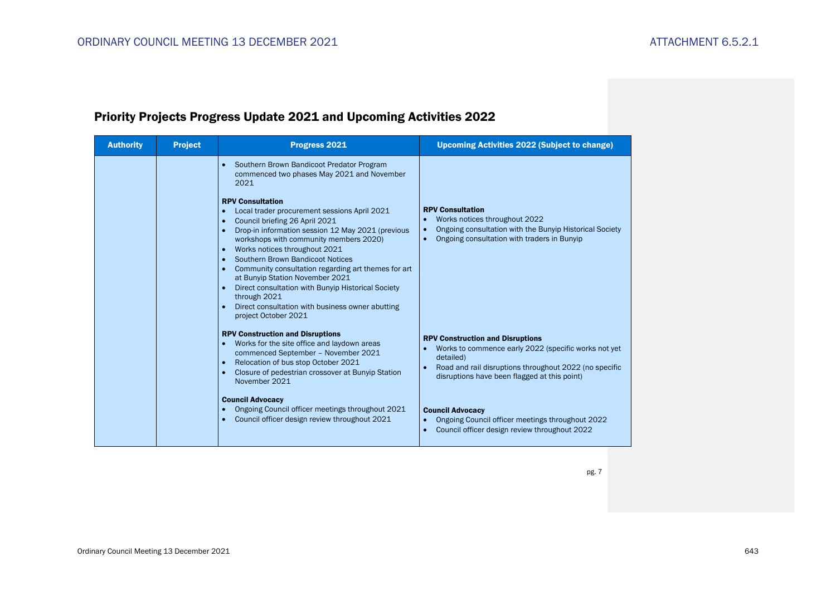| <b>Authority</b> | <b>Project</b> | <b>Progress 2021</b>                                                                                                                                                                                                                                                                                                                                                                                                                                                                                                                                                                                                                             | <b>Upcoming Activities 2022 (Subject to change)</b>                                                                                                                                                                                                                                                                                                                                                        |
|------------------|----------------|--------------------------------------------------------------------------------------------------------------------------------------------------------------------------------------------------------------------------------------------------------------------------------------------------------------------------------------------------------------------------------------------------------------------------------------------------------------------------------------------------------------------------------------------------------------------------------------------------------------------------------------------------|------------------------------------------------------------------------------------------------------------------------------------------------------------------------------------------------------------------------------------------------------------------------------------------------------------------------------------------------------------------------------------------------------------|
|                  |                | Southern Brown Bandicoot Predator Program<br>commenced two phases May 2021 and November<br>2021<br><b>RPV Consultation</b><br>Local trader procurement sessions April 2021<br>Council briefing 26 April 2021<br>Drop-in information session 12 May 2021 (previous<br>workshops with community members 2020)<br>Works notices throughout 2021<br><b>Southern Brown Bandicoot Notices</b><br>Community consultation regarding art themes for art<br>at Bunyip Station November 2021<br>Direct consultation with Bunyip Historical Society<br>$\bullet$<br>through 2021<br>Direct consultation with business owner abutting<br>project October 2021 | <b>RPV Consultation</b><br>Works notices throughout 2022<br>$\bullet$<br>Ongoing consultation with the Bunyip Historical Society<br>$\bullet$<br>Ongoing consultation with traders in Bunyip<br>$\bullet$                                                                                                                                                                                                  |
|                  |                | <b>RPV Construction and Disruptions</b><br>Works for the site office and laydown areas<br>commenced September - November 2021<br>Relocation of bus stop October 2021<br>$\bullet$<br>Closure of pedestrian crossover at Bunyip Station<br>November 2021<br><b>Council Advocacy</b><br>Ongoing Council officer meetings throughout 2021<br>Council officer design review throughout 2021                                                                                                                                                                                                                                                          | <b>RPV Construction and Disruptions</b><br>Works to commence early 2022 (specific works not yet<br>$\bullet$<br>detailed)<br>Road and rail disruptions throughout 2022 (no specific<br>$\bullet$<br>disruptions have been flagged at this point)<br><b>Council Advocacy</b><br>Ongoing Council officer meetings throughout 2022<br>$\bullet$<br>Council officer design review throughout 2022<br>$\bullet$ |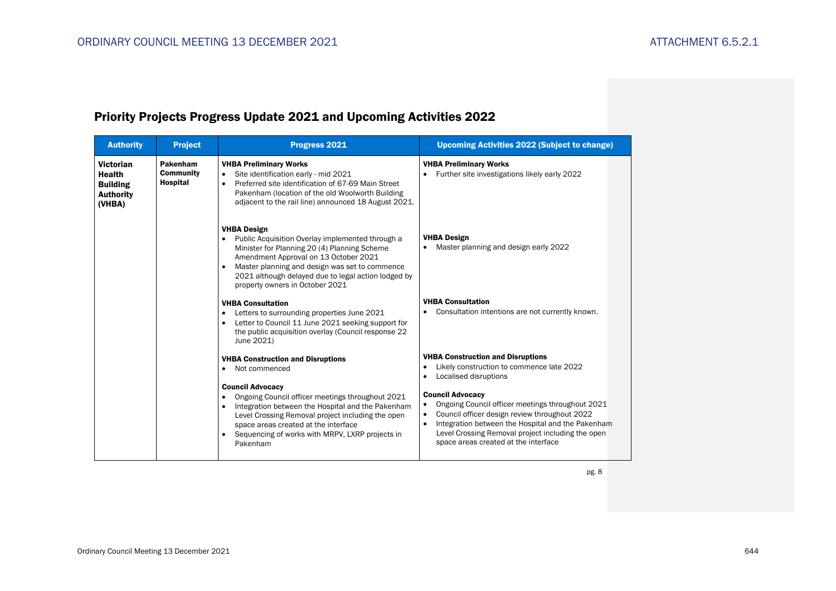| <b>Authority</b>                                                                   | <b>Project</b>                           | Progress 2021                                                                                                                                                                                                                                                                                                                                                                                         | <b>Upcoming Activities 2022 (Subject to change)</b>                                                                                                                                                                                                                                                                                                                                                                                                  |
|------------------------------------------------------------------------------------|------------------------------------------|-------------------------------------------------------------------------------------------------------------------------------------------------------------------------------------------------------------------------------------------------------------------------------------------------------------------------------------------------------------------------------------------------------|------------------------------------------------------------------------------------------------------------------------------------------------------------------------------------------------------------------------------------------------------------------------------------------------------------------------------------------------------------------------------------------------------------------------------------------------------|
| <b>Victorian</b><br><b>Health</b><br><b>Building</b><br><b>Authority</b><br>(VHBA) | Pakenham<br><b>Community</b><br>Hospital | <b>VHBA Preliminary Works</b><br>Site identification early - mid 2021<br>$\bullet$<br>Preferred site identification of 67-69 Main Street<br>$\bullet$<br>Pakenham (location of the old Woolworth Building<br>adjacent to the rail line) announced 18 August 2021.                                                                                                                                     | <b>VHBA Preliminary Works</b><br>Further site investigations likely early 2022<br>$\bullet$                                                                                                                                                                                                                                                                                                                                                          |
|                                                                                    |                                          | <b>VHBA Design</b><br>Public Acquisition Overlay implemented through a<br>$\bullet$<br>Minister for Planning 20 (4) Planning Scheme<br>Amendment Approval on 13 October 2021<br>Master planning and design was set to commence<br>2021 although delayed due to legal action lodged by<br>property owners in October 2021                                                                              | <b>VHBA Design</b><br>Master planning and design early 2022                                                                                                                                                                                                                                                                                                                                                                                          |
|                                                                                    |                                          | <b>VHBA Consultation</b><br>Letters to surrounding properties June 2021<br>$\bullet$<br>Letter to Council 11 June 2021 seeking support for<br>٠<br>the public acquisition overlay (Council response 22<br>June 2021)                                                                                                                                                                                  | <b>VHBA Consultation</b><br>Consultation intentions are not currently known.                                                                                                                                                                                                                                                                                                                                                                         |
|                                                                                    |                                          | <b>VHBA Construction and Disruptions</b><br>Not commenced<br>$\bullet$<br><b>Council Advocacy</b><br>Ongoing Council officer meetings throughout 2021<br>٠<br>Integration between the Hospital and the Pakenham<br>$\bullet$<br>Level Crossing Removal project including the open<br>space areas created at the interface<br>Sequencing of works with MRPV, LXRP projects in<br>$\bullet$<br>Pakenham | <b>VHBA Construction and Disruptions</b><br>Likely construction to commence late 2022<br>Localised disruptions<br>$\bullet$<br><b>Council Advocacy</b><br>Ongoing Council officer meetings throughout 2021<br>$\bullet$<br>Council officer design review throughout 2022<br>$\bullet$<br>Integration between the Hospital and the Pakenham<br>$\bullet$<br>Level Crossing Removal project including the open<br>space areas created at the interface |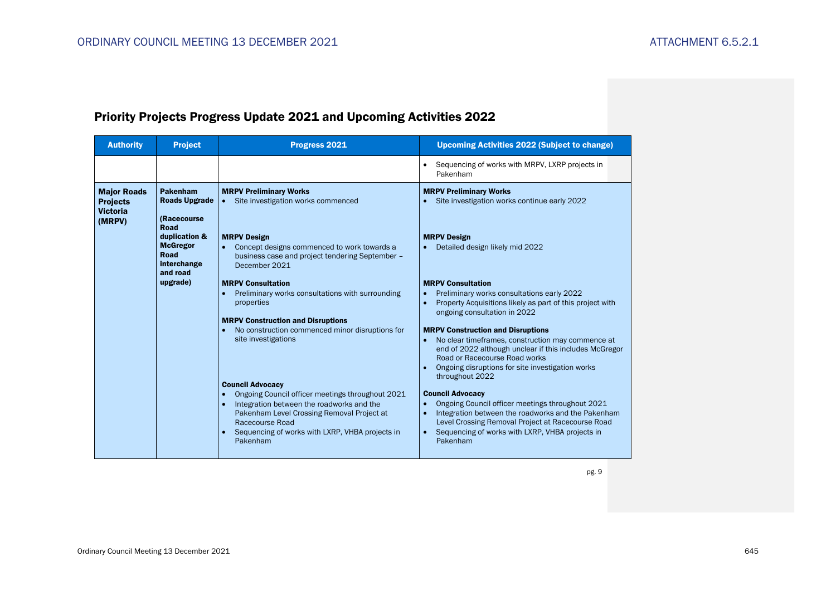| <b>Authority</b>                                                   | <b>Project</b>                                                                  | Progress 2021                                                                                                                                                                                                                                           | <b>Upcoming Activities 2022 (Subject to change)</b>                                                                                                                                                                                                                             |
|--------------------------------------------------------------------|---------------------------------------------------------------------------------|---------------------------------------------------------------------------------------------------------------------------------------------------------------------------------------------------------------------------------------------------------|---------------------------------------------------------------------------------------------------------------------------------------------------------------------------------------------------------------------------------------------------------------------------------|
|                                                                    |                                                                                 |                                                                                                                                                                                                                                                         | Sequencing of works with MRPV, LXRP projects in<br>Pakenham                                                                                                                                                                                                                     |
| <b>Major Roads</b><br><b>Projects</b><br><b>Victoria</b><br>(MRPV) | <b>Pakenham</b><br><b>Roads Upgrade</b><br>(Racecourse<br>Road<br>duplication & | <b>MRPV Preliminary Works</b><br>• Site investigation works commenced<br><b>MRPV Design</b>                                                                                                                                                             | <b>MRPV Preliminary Works</b><br>Site investigation works continue early 2022<br><b>MRPV Design</b>                                                                                                                                                                             |
|                                                                    | <b>McGregor</b><br>Road<br>interchange<br>and road                              | Concept designs commenced to work towards a<br>$\bullet$<br>business case and project tendering September -<br>December 2021                                                                                                                            | Detailed design likely mid 2022<br>$\bullet$                                                                                                                                                                                                                                    |
|                                                                    | upgrade)                                                                        | <b>MRPV Consultation</b><br>Preliminary works consultations with surrounding<br>$\bullet$<br>properties<br><b>MRPV Construction and Disruptions</b>                                                                                                     | <b>MRPV Consultation</b><br>Preliminary works consultations early 2022<br>Property Acquisitions likely as part of this project with<br>$\bullet$<br>ongoing consultation in 2022                                                                                                |
|                                                                    |                                                                                 | No construction commenced minor disruptions for<br>$\bullet$<br>site investigations<br><b>Council Advocacy</b>                                                                                                                                          | <b>MRPV Construction and Disruptions</b><br>No clear timeframes, construction may commence at<br>end of 2022 although unclear if this includes McGregor<br>Road or Racecourse Road works<br>Ongoing disruptions for site investigation works<br>throughout 2022                 |
|                                                                    |                                                                                 | Ongoing Council officer meetings throughout 2021<br>$\bullet$<br>Integration between the roadworks and the<br>$\bullet$<br>Pakenham Level Crossing Removal Project at<br>Racecourse Road<br>Sequencing of works with LXRP, VHBA projects in<br>Pakenham | <b>Council Advocacy</b><br>Ongoing Council officer meetings throughout 2021<br>$\bullet$<br>Integration between the roadworks and the Pakenham<br>Level Crossing Removal Project at Racecourse Road<br>Sequencing of works with LXRP, VHBA projects in<br>$\bullet$<br>Pakenham |